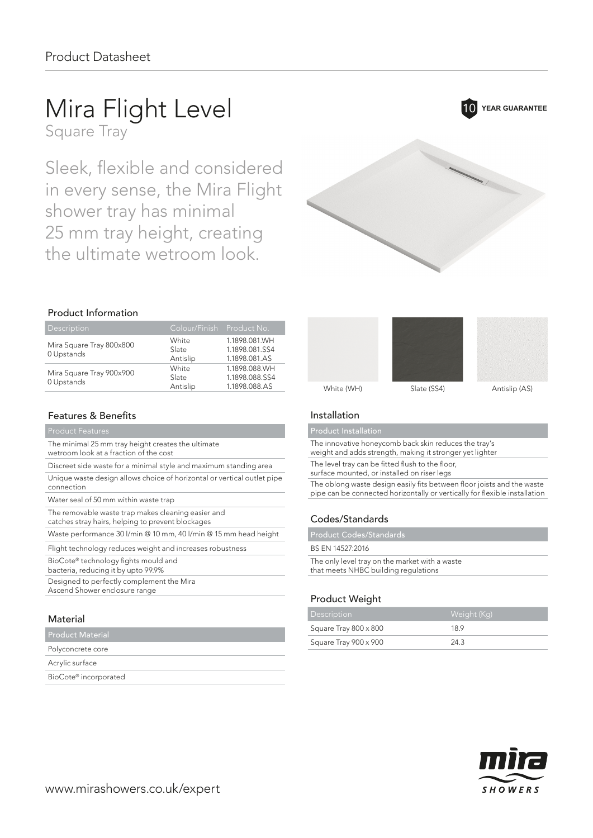# Mira Flight Level 10 YEAR GUARANTEE

Square Tray

Sleek, flexible and considered in every sense, the Mira Flight shower tray has minimal 25 mm tray height, creating the ultimate wetroom look.

# 

### Product Information

| Description                            | Colour/Finish Product No.  |                                                  |
|----------------------------------------|----------------------------|--------------------------------------------------|
| Mira Square Tray 800x800<br>0 Upstands | White<br>Slate<br>Antislip | 1.1898.081.WH<br>1.1898.081.SS4<br>1.1898.081.AS |
| Mira Square Tray 900x900<br>0 Upstands | White<br>Slate<br>Antislip | 1.1898.088.WH<br>1.1898.088.SS4<br>1.1898.088.AS |

### Features & Benefits

The minimal 25 mm tray height creates the ultimate

wetroom look at a fraction of the cost

Discreet side waste for a minimal style and maximum standing area

Unique waste design allows choice of horizontal or vertical outlet pipe connection

Water seal of 50 mm within waste trap

The removable waste trap makes cleaning easier and catches stray hairs, helping to prevent blockages

Waste performance 30 l/min @ 10 mm, 40 l/min @ 15 mm head height

Flight technology reduces weight and increases robustness

BioCote® technology fights mould and

bacteria, reducing it by upto 99.9%

Designed to perfectly complement the Mira Ascend Shower enclosure range

### Material

Product Material

### Polyconcrete core

Acrylic surface

BioCote® incorporated



Product Installation

The innovative honeycomb back skin reduces the tray's

weight and adds strength, making it stronger yet lighter

The level tray can be fitted flush to the floor,

surface mounted, or installed on riser legs

The oblong waste design easily fits between floor joists and the waste pipe can be connected horizontally or vertically for flexible installation

White (WH) Slate (SS4) Antislip (AS)

### Codes/Standards

Product Codes/Standards

### BS EN 14527:2016

The only level tray on the market with a waste that meets NHBC building regulations

### Product Weight

| <b>Description</b>    | <sub>I</sub> Weight (Kg)' |
|-----------------------|---------------------------|
| Square Tray 800 x 800 | 189                       |
| Square Tray 900 x 900 | 24.3                      |